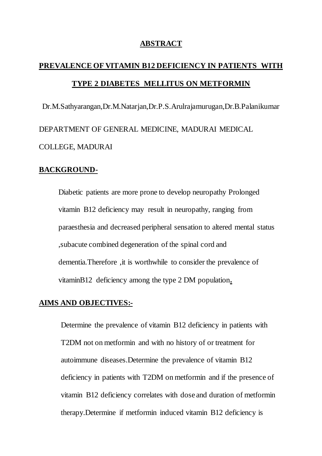### **ABSTRACT**

# **PREVALENCE OF VITAMIN B12 DEFICIENCY IN PATIENTS WITH TYPE 2 DIABETES MELLITUS ON METFORMIN**

Dr.M.Sathyarangan,Dr.M.Natarjan,Dr.P.S.Arulrajamurugan,Dr.B.Palanikumar DEPARTMENT OF GENERAL MEDICINE, MADURAI MEDICAL COLLEGE, MADURAI

## **BACKGROUND-**

Diabetic patients are more prone to develop neuropathy Prolonged vitamin B12 deficiency may result in neuropathy, ranging from paraesthesia and decreased peripheral sensation to altered mental status ,subacute combined degeneration of the spinal cord and dementia.Therefore ,it is worthwhile to consider the prevalence of vitaminB12 deficiency among the type 2 DM population**.** 

# **AIMS AND OBJECTIVES:-**

Determine the prevalence of vitamin B12 deficiency in patients with T2DM not on metformin and with no history of or treatment for autoimmune diseases.Determine the prevalence of vitamin B12 deficiency in patients with T2DM on metformin and if the presence of vitamin B12 deficiency correlates with dose and duration of metformin therapy.Determine if metformin induced vitamin B12 deficiency is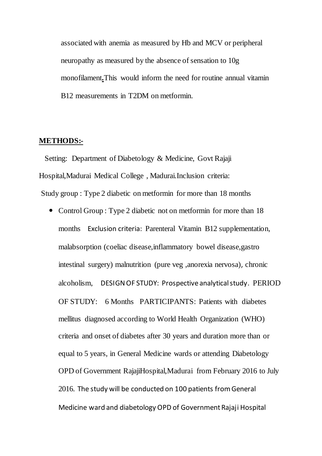associated with anemia as measured by Hb and MCV or peripheral neuropathy as measured by the absence of sensation to 10g monofilament**.**This would inform the need for routine annual vitamin B12 measurements in T2DM on metformin.

#### **METHODS:-**

 Setting: Department of Diabetology & Medicine, Govt Rajaji Hospital,Madurai Medical College , Madurai.Inclusion criteria: Study group : Type 2 diabetic on metformin for more than 18 months

• Control Group : Type 2 diabetic not on metformin for more than 18 months Exclusion criteria: Parenteral Vitamin B12 supplementation, malabsorption (coeliac disease,inflammatory bowel disease,gastro intestinal surgery) malnutrition (pure veg ,anorexia nervosa), chronic alcoholism, DESIGN OF STUDY: Prospective analytical study. PERIOD OF STUDY: 6 Months PARTICIPANTS: Patients with diabetes mellitus diagnosed according to World Health Organization (WHO) criteria and onset of diabetes after 30 years and duration more than or equal to 5 years, in General Medicine wards or attending Diabetology OPD of Government RajajiHospital,Madurai from February 2016 to July 2016. The study will be conducted on 100 patients from General Medicine ward and diabetology OPD of Government Rajaji Hospital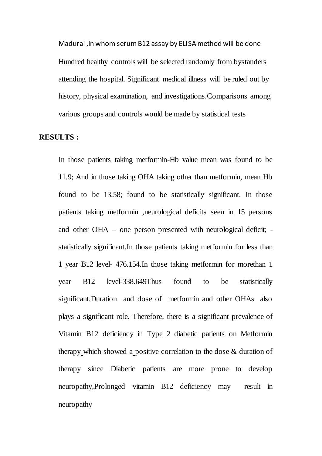Madurai ,in whom serum B12 assay by ELISA method will be done Hundred healthy controls will be selected randomly from bystanders attending the hospital. Significant medical illness will be ruled out by history, physical examination, and investigations.Comparisons among various groups and controls would be made by statistical tests

#### **RESULTS :**

In those patients taking metformin-Hb value mean was found to be 11.9; And in those taking OHA taking other than metformin, mean Hb found to be 13.58; found to be statistically significant. In those patients taking metformin ,neurological deficits seen in 15 persons and other OHA – one person presented with neurological deficit; statistically significant.In those patients taking metformin for less than 1 year B12 level- 476.154.In those taking metformin for morethan 1 year B12 level-338.649Thus found to be statistically significant.Duration and dose of metformin and other OHAs also plays a significant role. Therefore, there is a significant prevalence of Vitamin B12 deficiency in Type 2 diabetic patients on Metformin therapy which showed a positive correlation to the dose & duration of therapy since Diabetic patients are more prone to develop neuropathy,Prolonged vitamin B12 deficiency may result in neuropathy